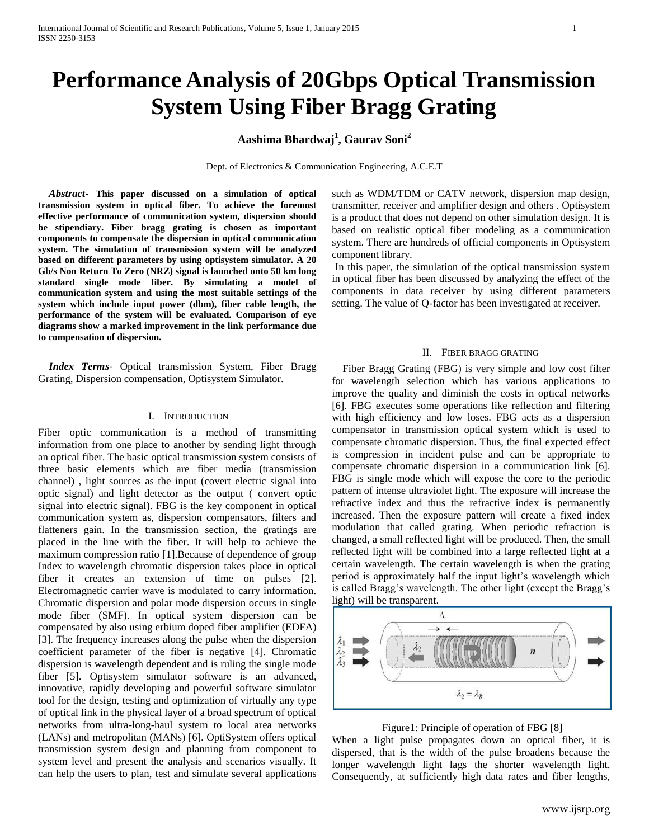# **Performance Analysis of 20Gbps Optical Transmission System Using Fiber Bragg Grating**

## **Aashima Bhardwaj<sup>1</sup> , Gaurav Soni<sup>2</sup>**

Dept. of Electronics & Communication Engineering, A.C.E.T

 *Abstract***- This paper discussed on a simulation of optical transmission system in optical fiber. To achieve the foremost effective performance of communication system, dispersion should be stipendiary. Fiber bragg grating is chosen as important components to compensate the dispersion in optical communication system. The simulation of transmission system will be analyzed based on different parameters by using optisystem simulator. A 20 Gb/s Non Return To Zero (NRZ) signal is launched onto 50 km long standard single mode fiber. By simulating a model of communication system and using the most suitable settings of the system which include input power (dbm), fiber cable length, the performance of the system will be evaluated. Comparison of eye diagrams show a marked improvement in the link performance due to compensation of dispersion.**

 *Index Terms*- Optical transmission System, Fiber Bragg Grating, Dispersion compensation, Optisystem Simulator.

#### I. INTRODUCTION

Fiber optic communication is a method of transmitting information from one place to another by sending light through an optical fiber. The basic optical transmission system consists of three basic elements which are fiber media (transmission channel) , light sources as the input (covert electric signal into optic signal) and light detector as the output ( convert optic signal into electric signal). FBG is the key component in optical communication system as, dispersion compensators, filters and flatteners gain. In the transmission section, the gratings are placed in the line with the fiber. It will help to achieve the maximum compression ratio [1].Because of dependence of group Index to wavelength chromatic dispersion takes place in optical fiber it creates an extension of time on pulses [2]. Electromagnetic carrier wave is modulated to carry information. Chromatic dispersion and polar mode dispersion occurs in single mode fiber (SMF). In optical system dispersion can be compensated by also using erbium doped fiber amplifier (EDFA) [3]. The frequency increases along the pulse when the dispersion coefficient parameter of the fiber is negative [4]. Chromatic dispersion is wavelength dependent and is ruling the single mode fiber [5]. Optisystem simulator software is an advanced, innovative, rapidly developing and powerful software simulator tool for the design, testing and optimization of virtually any type of optical link in the physical layer of a broad spectrum of optical networks from ultra-long-haul system to local area networks (LANs) and metropolitan (MANs) [6]. OptiSystem offers optical transmission system design and planning from component to system level and present the analysis and scenarios visually. It can help the users to plan, test and simulate several applications such as WDM/TDM or CATV network, dispersion map design, transmitter, receiver and amplifier design and others . Optisystem is a product that does not depend on other simulation design. It is based on realistic optical fiber modeling as a communication system. There are hundreds of official components in Optisystem component library.

In this paper, the simulation of the optical transmission system in optical fiber has been discussed by analyzing the effect of the components in data receiver by using different parameters setting. The value of Q-factor has been investigated at receiver.

### II. FIBER BRAGG GRATING

 Fiber Bragg Grating (FBG) is very simple and low cost filter for wavelength selection which has various applications to improve the quality and diminish the costs in optical networks [6]. FBG executes some operations like reflection and filtering with high efficiency and low loses. FBG acts as a dispersion compensator in transmission optical system which is used to compensate chromatic dispersion. Thus, the final expected effect is compression in incident pulse and can be appropriate to compensate chromatic dispersion in a communication link [6]. FBG is single mode which will expose the core to the periodic pattern of intense ultraviolet light. The exposure will increase the refractive index and thus the refractive index is permanently increased. Then the exposure pattern will create a fixed index modulation that called grating. When periodic refraction is changed, a small reflected light will be produced. Then, the small reflected light will be combined into a large reflected light at a certain wavelength. The certain wavelength is when the grating period is approximately half the input light's wavelength which is called Bragg's wavelength. The other light (except the Bragg's light) will be transparent.





When a light pulse propagates down an optical fiber, it is dispersed, that is the width of the pulse broadens because the longer wavelength light lags the shorter wavelength light. Consequently, at sufficiently high data rates and fiber lengths,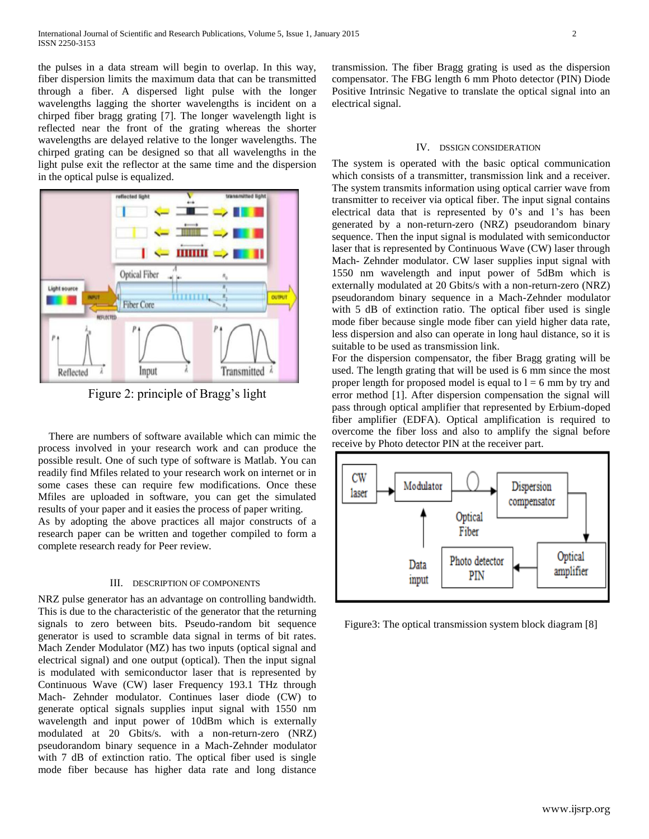the pulses in a data stream will begin to overlap. In this way, fiber dispersion limits the maximum data that can be transmitted through a fiber. A dispersed light pulse with the longer wavelengths lagging the shorter wavelengths is incident on a chirped fiber bragg grating [7]. The longer wavelength light is reflected near the front of the grating whereas the shorter wavelengths are delayed relative to the longer wavelengths. The chirped grating can be designed so that all wavelengths in the light pulse exit the reflector at the same time and the dispersion in the optical pulse is equalized.



Figure 2: principle of Bragg's light

 There are numbers of software available which can mimic the process involved in your research work and can produce the possible result. One of such type of software is Matlab. You can readily find Mfiles related to your research work on internet or in some cases these can require few modifications. Once these Mfiles are uploaded in software, you can get the simulated results of your paper and it easies the process of paper writing.

As by adopting the above practices all major constructs of a research paper can be written and together compiled to form a complete research ready for Peer review.

#### III. DESCRIPTION OF COMPONENTS

NRZ pulse generator has an advantage on controlling bandwidth. This is due to the characteristic of the generator that the returning signals to zero between bits. Pseudo-random bit sequence generator is used to scramble data signal in terms of bit rates. Mach Zender Modulator (MZ) has two inputs (optical signal and electrical signal) and one output (optical). Then the input signal is modulated with semiconductor laser that is represented by Continuous Wave (CW) laser Frequency 193.1 THz through Mach- Zehnder modulator. Continues laser diode (CW) to generate optical signals supplies input signal with 1550 nm wavelength and input power of 10dBm which is externally modulated at 20 Gbits/s. with a non-return-zero (NRZ) pseudorandom binary sequence in a Mach-Zehnder modulator with 7 dB of extinction ratio. The optical fiber used is single mode fiber because has higher data rate and long distance transmission. The fiber Bragg grating is used as the dispersion compensator. The FBG length 6 mm Photo detector (PIN) Diode Positive Intrinsic Negative to translate the optical signal into an electrical signal.

#### IV. DSSIGN CONSIDERATION

The system is operated with the basic optical communication which consists of a transmitter, transmission link and a receiver. The system transmits information using optical carrier wave from transmitter to receiver via optical fiber. The input signal contains electrical data that is represented by 0's and 1's has been generated by a non-return-zero (NRZ) pseudorandom binary sequence. Then the input signal is modulated with semiconductor laser that is represented by Continuous Wave (CW) laser through Mach- Zehnder modulator. CW laser supplies input signal with 1550 nm wavelength and input power of 5dBm which is externally modulated at 20 Gbits/s with a non-return-zero (NRZ) pseudorandom binary sequence in a Mach-Zehnder modulator with 5 dB of extinction ratio. The optical fiber used is single mode fiber because single mode fiber can yield higher data rate, less dispersion and also can operate in long haul distance, so it is suitable to be used as transmission link.

For the dispersion compensator, the fiber Bragg grating will be used. The length grating that will be used is 6 mm since the most proper length for proposed model is equal to  $l = 6$  mm by try and error method [1]. After dispersion compensation the signal will pass through optical amplifier that represented by Erbium-doped fiber amplifier (EDFA). Optical amplification is required to overcome the fiber loss and also to amplify the signal before receive by Photo detector PIN at the receiver part.



Figure3: The optical transmission system block diagram [8]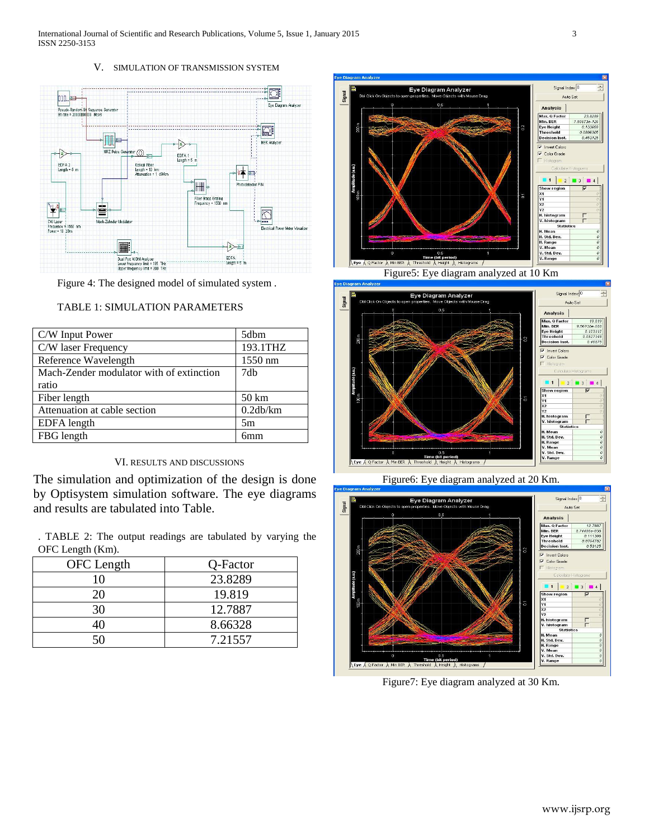### V. SIMULATION OF TRANSMISSION SYSTEM



Figure 4: The designed model of simulated system .

| C/W Input Power                          | 5dbm             |
|------------------------------------------|------------------|
| C/W laser Frequency                      | 193.1THZ         |
| Reference Wavelength                     | 1550 nm          |
| Mach-Zender modulator with of extinction | 7db              |
| ratio                                    |                  |
| Fiber length                             | $50 \mathrm{km}$ |
| Attenuation at cable section             | 0.2db/km         |
| EDFA length                              | 5m               |
| FBG length                               | 6mm              |

## TABLE 1: SIMULATION PARAMETERS

#### VI. RESULTS AND DISCUSSIONS

The simulation and optimization of the design is done by Optisystem simulation software. The eye diagrams and results are tabulated into Table.

. TABLE 2: The output readings are tabulated by varying the OFC Length (Km).

| OFC Length | Q-Factor |
|------------|----------|
| 10         | 23.8289  |
| 20         | 19.819   |
| 30         | 12.7887  |
|            | 8.66328  |
|            | 7.21557  |



Figure5: Eye diagram analyzed at 10 Km



Figure6: Eye diagram analyzed at 20 Km.



Figure7: Eye diagram analyzed at 30 Km.